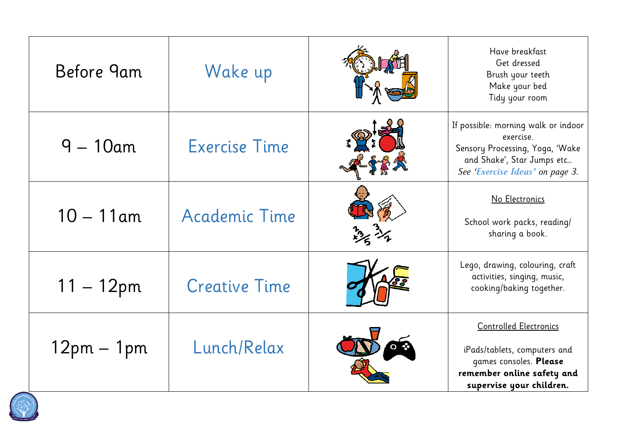Have breakfast Get dressed Brush your teeth Make your bed Tidy your room

ossible: morning walk or indoor exercise. nsory Processing, Yoga, <mark>'Wake</mark> and Shake', Star Jumps etc…

ego, drawing, colouring, craft activities, singing, music, cooking/baking together.

| Before 9am   | Wake up              |                                 |
|--------------|----------------------|---------------------------------|
| $9 - 10$ am  | <b>Exercise Time</b> | If po<br>Ser<br>$\overline{Se}$ |
| $10 - 11$ am | Academic Time        |                                 |
| $11 - 12$ pm | <b>Creative Time</b> |                                 |
| $12pm - 1pm$ | Lunch/Relax          | $\mathsf{i}$<br>re              |



*See 'Exercise Ideas' on page 3.* 

## No Electronics

School work packs, reading/ sharing a book.

Controlled Electronics

iPads/tablets, computers and games consoles. **Please remember online safety and supervise your children.**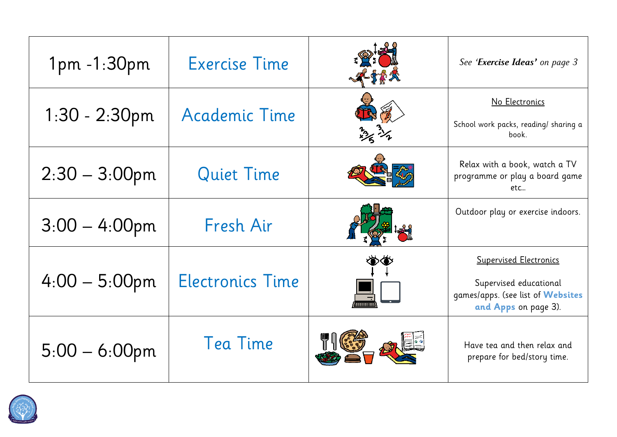# 1pm -1:30pm Exercise Time *See 'Exercise Ideas' on page 3*

# No Electronics

| 1pm -1:30pm      | <b>Exercise Time</b>    |          | See 'Exercise Ideas' on page 3                                                                                       |
|------------------|-------------------------|----------|----------------------------------------------------------------------------------------------------------------------|
| $1:30 - 2:30$ pm | Academic Time           | way 31/2 | No Electronics<br>School work packs, reading/ sharing a<br>book.                                                     |
| $2:30 - 3:00$ pm | Quiet Time              |          | Relax with a book, watch a TV<br>programme or play a board game<br>etc                                               |
| $3:00 - 4:00$ pm | Fresh Air               |          | Outdoor play or exercise indoors.                                                                                    |
| $4:00 - 5:00$ pm | <b>Electronics Time</b> |          | <u>Supervised Electronics</u><br>Supervised educational<br>games/apps. (see list of Websites<br>and Apps on page 3). |
| $5:00 - 6:00$ pm | Tea Time                |          | Have tea and then relax and<br>prepare for bed/story time.                                                           |



## Supervised Electronics